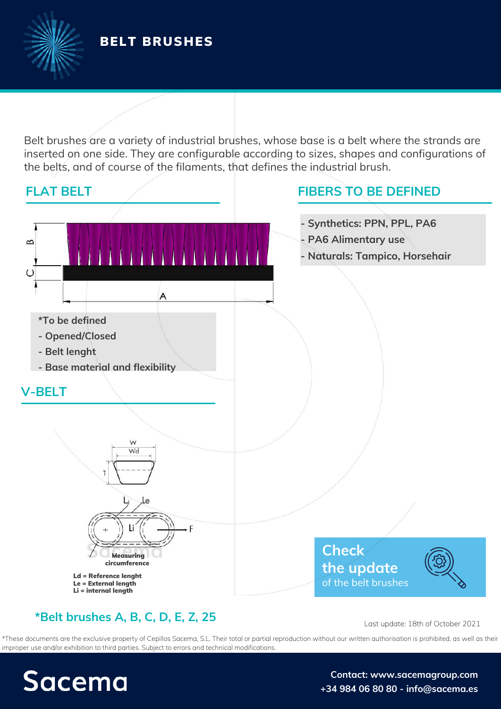Belt brushes are a variety of industrial brushes, whose base is a belt where the strands are inserted on one side. They are configurable according to sizes, shapes and configurations of the belts, and of course of the filaments, that defines the industrial brush.



### **\*Belt brushes A, B, C, D, E, Z, 25**

Last update: 18th of October 2021

\*These documents are the exclusive property of Cepillos Sacema, S.L. Their total or partial reproduction without our written authorisation is prohibited, as well as their improper use and/or exhibition to third parties. Subject to errors and technical modifications.

# Sacema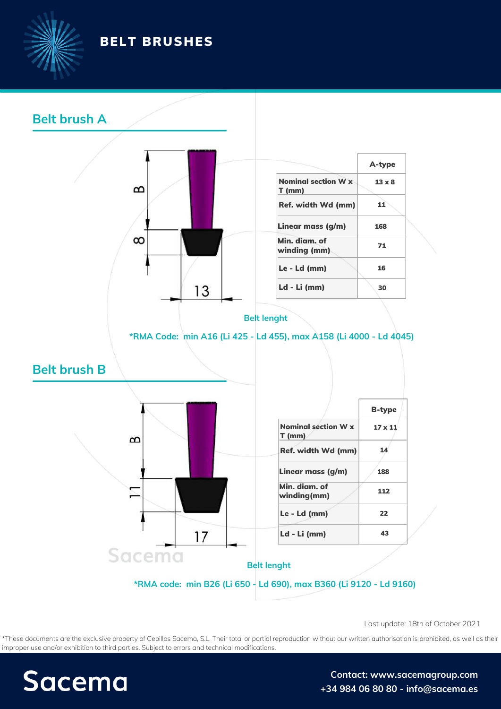



\*These documents are the exclusive property of Cepillos Sacema, S.L. Their total or partial reproduction without our written authorisation is prohibited, as well as their improper use and/or exhibition to third parties. Subject to errors and technical modifications. Last update: 18th of October 2021<br>ut our written authorisation is prohibited, as well a<br>**Contact: www.sacemagroup.com** 

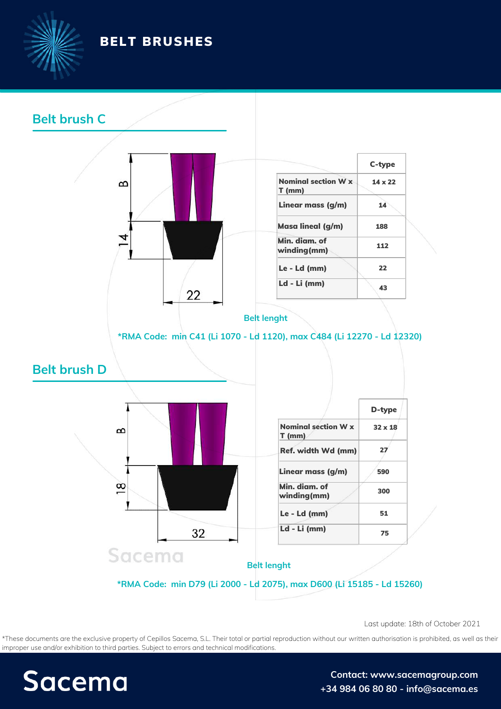



\*These documents are the exclusive property of Cepillos Sacema, S.L. Their total or partial reproduction without our written authorisation is prohibited, as well as their improper use and/or exhibition to third parties. Subject to errors and technical modifications. Last update: 18th of October 2021<br>ut our written authorisation is prohibited, as well a<br>**Contact: www.sacemagroup.com** 

## **Sacema**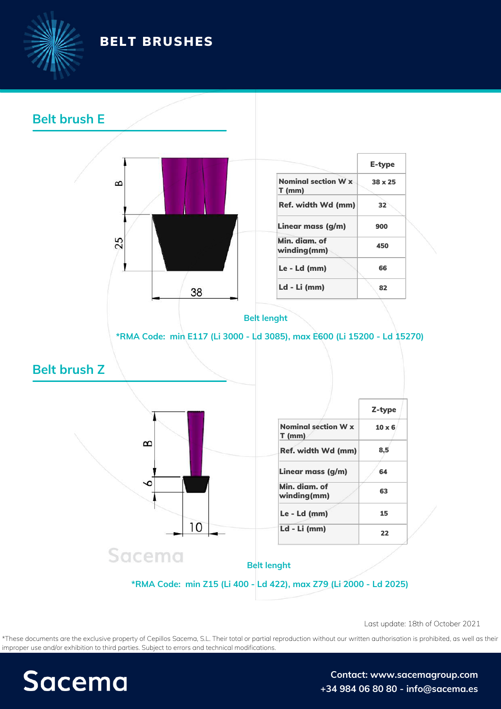



\*These documents are the exclusive property of Cepillos Sacema, S.L. Their total or partial reproduction without our written authorisation is prohibited, as well as their improper use and/or exhibition to third parties. Subject to errors and technical modifications. Last update: 18th of October 2021<br>ut our written authorisation is prohibited, as well a<br>**Contact: www.sacemagroup.com** 

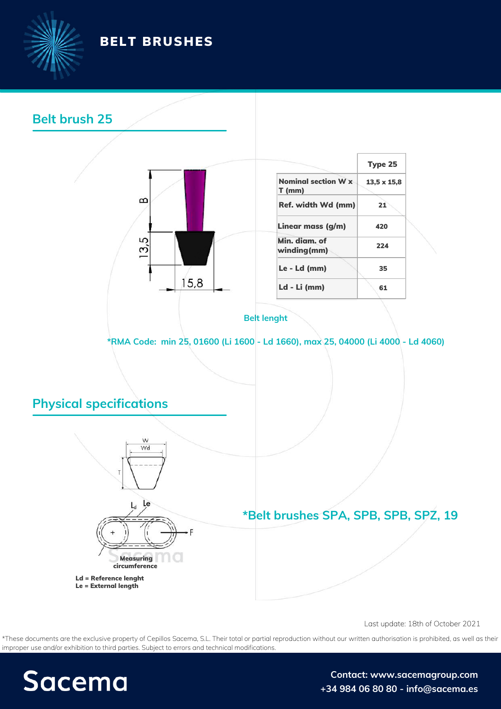

### **Belt brush 25**



|                                 | Type 25            |
|---------------------------------|--------------------|
| Nominal section W x<br>$T$ (mm) | $13,5 \times 15,8$ |
| Ref. width Wd (mm)              | 21                 |
| Linear mass (g/m)               | 420                |
| Min. diam. of<br>winding(mm)    | 224                |
| Le - Ld (mm)                    | 35                 |
| Ld - Li (mm)                    | 61                 |

#### **Belt lenght**

**\*RMA Code: min 25, 01600 (Li 1600 - Ld 1660), max 25, 04000 (Li 4000 - Ld 4060)**

### **Physical specifications**



**\*Belt brushes SPA, SPB, SPB, SPZ, 19**

Ld = Reference lenght Le = External length

#### Last update: 18th of October 2021

\*These documents are the exclusive property of Cepillos Sacema, S.L. Their total or partial reproduction without our written authorisation is prohibited, as well as their improper use and/or exhibition to third parties. Subject to errors and technical modifications. Measuring<br> **Example:**<br> **Contact:**<br> **Contact:**<br> **Contact:**<br> **Contact:**<br> **Contact:**<br> **Contact:**<br> **Contact:** 

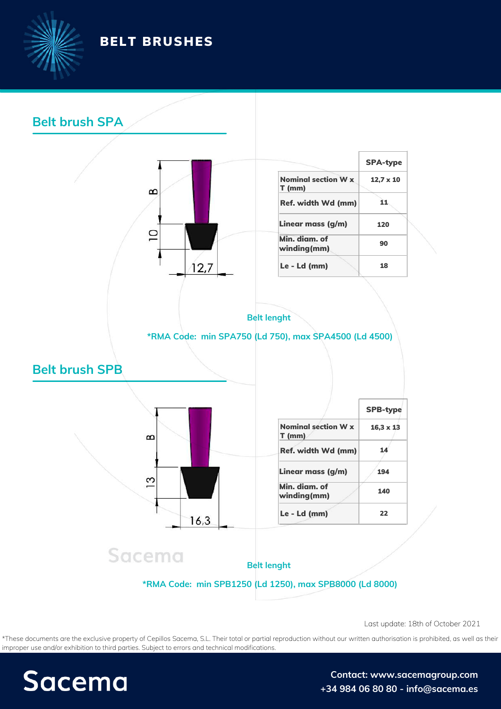



### **Belt brush SPA**



|                                        | <b>SPA-type</b>  |
|----------------------------------------|------------------|
| <b>Nominal section W x</b><br>$T$ (mm) | $12.7 \times 10$ |
| Ref. width Wd (mm)                     | 11               |
| Linear mass (g/m)                      | 120              |
| Min. diam. of<br>winding(mm)           | 90               |
| Le - Ld (mm)                           | 18               |



### **\*RMA Code: min SPA750 (Ld 750), max SPA4500 (Ld 4500)**





|                                        | <b>SPB-type</b>  |
|----------------------------------------|------------------|
| <b>Nominal section W x</b><br>$T$ (mm) | $16.3 \times 13$ |
| Ref. width Wd (mm)                     | 14               |
| Linear mass (g/m)                      | 194              |
| Min. diam. of<br>winding(mm)           | 140              |
| Le - Ld (mm)                           | フフ               |

## Sacema

**Belt lenght**

### **\*RMA Code: min SPB1250 (Ld 1250), max SPB8000 (Ld 8000)**

Last update: 18th of October 2021<br> **Co**ntact: [w](https://sacemagroup.com/en/contact/?utm_campaign=ficha_tecnica&utm_medium=referral&utm_source=pdf_propio&utm_content=contacto&utm_term=en)[ww.sacemagroup.com](https://sacemagroup.com/es/contacto/?utm_campaign=ficha_tecnica&utm_medium=referral&utm_source=pdf_propio)<br> \*These documents are the exclusive property of Cepillos Sacema, S.L. Their total or partial reproduction without our written authorisation is prohibited, as well as their improper use and/or exhibition to third parties. Subject to errors and technical modifications.



**+34 984 06 80 80 - [info@sacema.es](https://sacemagroup.com/en/contact/?utm_campaign=ficha_tecnica&utm_medium=referral&utm_source=pdf_propio&utm_content=contacto&utm_term=en)**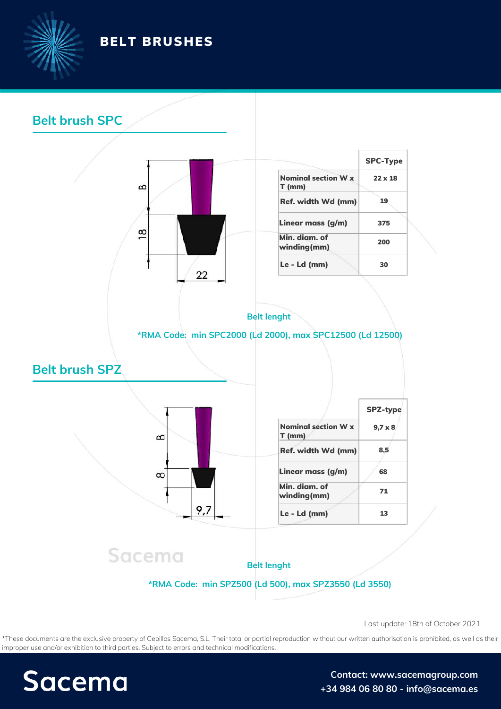

### **Belt brush SPC**



\*These documents are the exclusive property of Cepillos Sacema, S.L. Their total or partial reproduction without our written authorisation is prohibited, as well as their improper use and/or exhibition to third parties. Subject to errors and technical modifications. Last update: 18th of October 2021<br>ut our written authorisation is prohibited, as well a<br>**Contact: www.sacemagroup.com** 

## **Sacema**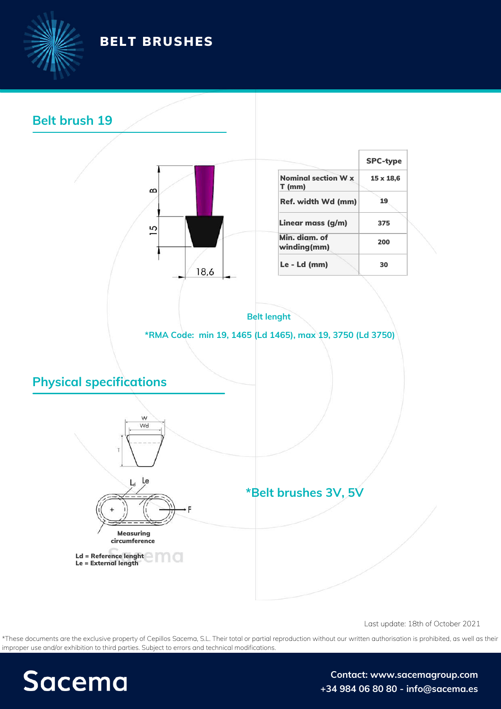

### **Belt brush 19**



Last update: 18th of October 2021

\*These documents are the exclusive property of Cepillos Sacema, S.L. Their total or partial reproduction without our written authorisation is prohibited, as well as their improper use and/or exhibition to third parties. Subject to errors and technical modifications.